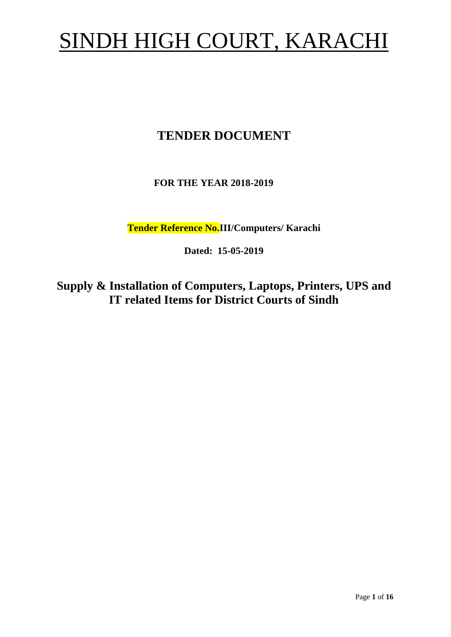# SINDH HIGH COURT, KARACHI

# **TENDER DOCUMENT**

# **FOR THE YEAR 2018-2019**

**Tender Reference No.III/Computers/ Karachi**

**Dated: 15-05-2019**

**Supply & Installation of Computers, Laptops, Printers, UPS and IT related Items for District Courts of Sindh**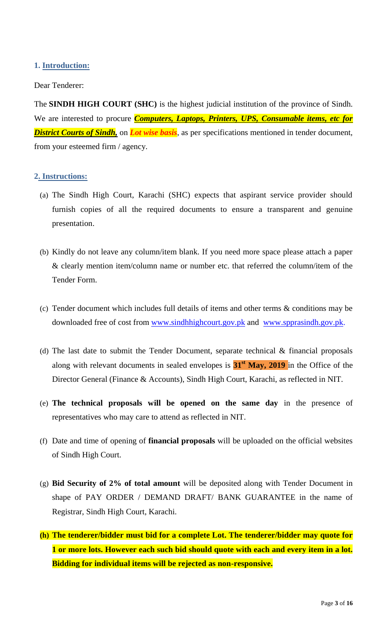#### <span id="page-2-1"></span><span id="page-2-0"></span>**1. Introduction:**

#### Dear Tenderer:

The **SINDH HIGH COURT (SHC)** is the highest judicial institution of the province of [Sindh.](https://en.wikipedia.org/wiki/Sindh) We are interested to procure *Computers, Laptops, Printers, UPS, Consumable items, etc for District Courts of Sindh,* on *Lot wise basis*, as per specifications mentioned in tender document, from your esteemed firm / agency.

#### **2. Instructions:**

- (a) The Sindh High Court, Karachi (SHC) expects that aspirant service provider should furnish copies of all the required documents to ensure a transparent and genuine presentation.
- (b) Kindly do not leave any column/item blank. If you need more space please attach a paper & clearly mention item/column name or number etc. that referred the column/item of the Tender Form.
- (c) Tender document which includes full details of items and other terms & conditions may be downloaded free of cost from [www.sindhhighcourt.gov.pk](http://www.sindhhighcourt.gov.pk/) and [www.spprasindh.gov.pk.](http://www.spprasindh.gov.pk/)
- (d) The last date to submit the Tender Document, separate technical  $\&$  financial proposals along with relevant documents in sealed envelopes is **31st May, 2019** in the Office of the Director General (Finance & Accounts), Sindh High Court, Karachi, as reflected in NIT.
- (e) **The technical proposals will be opened on the same day** in the presence of representatives who may care to attend as reflected in NIT.
- (f) Date and time of opening of **financial proposals** will be uploaded on the official websites of Sindh High Court.
- (g) **Bid Security of 2% of total amount** will be deposited along with Tender Document in shape of PAY ORDER / DEMAND DRAFT/ BANK GUARANTEE in the name of Registrar, Sindh High Court, Karachi.
- **(h) The tenderer/bidder must bid for a complete Lot. The tenderer/bidder may quote for 1 or more lots. However each such bid should quote with each and every item in a lot. Bidding for individual items will be rejected as non-responsive.**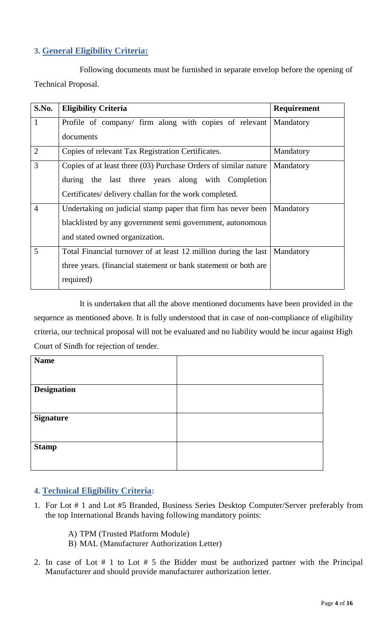# <span id="page-3-0"></span>**3. General Eligibility Criteria:**

Following documents must be furnished in separate envelop before the opening of Technical Proposal.

| S.No.          | <b>Eligibility Criteria</b>                                     | <b>Requirement</b> |
|----------------|-----------------------------------------------------------------|--------------------|
| $\mathbf{1}$   | Profile of company/ firm along with copies of relevant          | Mandatory          |
|                | documents                                                       |                    |
| $\overline{2}$ | Copies of relevant Tax Registration Certificates.               | Mandatory          |
| $\overline{3}$ | Copies of at least three (03) Purchase Orders of similar nature | Mandatory          |
|                | the last three years along with Completion<br>during            |                    |
|                | Certificates/ delivery challan for the work completed.          |                    |
| $\overline{4}$ | Undertaking on judicial stamp paper that firm has never been    | Mandatory          |
|                | blacklisted by any government semi government, autonomous       |                    |
|                | and stated owned organization.                                  |                    |
| 5              | Total Financial turnover of at least 12 million during the last | Mandatory          |
|                | three years. (financial statement or bank statement or both are |                    |
|                | required)                                                       |                    |

It is undertaken that all the above mentioned documents have been provided in the sequence as mentioned above. It is fully understood that in case of non-compliance of eligibility criteria, our technical proposal will not be evaluated and no liability would be incur against High Court of Sindh for rejection of tender.

<span id="page-3-1"></span>

| <b>Name</b>        |  |
|--------------------|--|
|                    |  |
| <b>Designation</b> |  |
|                    |  |
| <b>Signature</b>   |  |
|                    |  |
|                    |  |
| <b>Stamp</b>       |  |
|                    |  |

## **4. Technical Eligibility Criteria:**

- 1. For Lot # 1 and Lot #5 Branded, Business Series Desktop Computer/Server preferably from the top International Brands having following mandatory points:
	- A) TPM (Trusted Platform Module)
	- B) MAL (Manufacturer Authorization Letter)
- 2. In case of Lot # 1 to Lot # 5 the Bidder must be authorized partner with the Principal Manufacturer and should provide manufacturer authorization letter.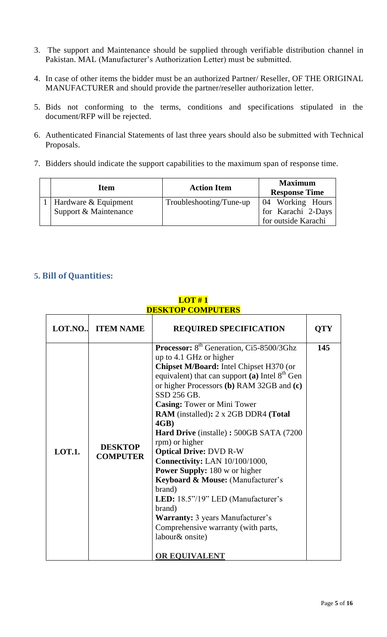- 3. The support and Maintenance should be supplied through verifiable distribution channel in Pakistan. MAL (Manufacturer's Authorization Letter) must be submitted.
- 4. In case of other items the bidder must be an authorized Partner/ Reseller, OF THE ORIGINAL MANUFACTURER and should provide the partner/reseller authorization letter.
- 5. Bids not conforming to the terms, conditions and specifications stipulated in the document/RFP will be rejected.
- 6. Authenticated Financial Statements of last three years should also be submitted with Technical Proposals.
- <span id="page-4-0"></span>7. Bidders should indicate the support capabilities to the maximum span of response time.

| <b>Item</b>                                         | <b>Action Item</b>      | <b>Maximum</b><br><b>Response Time</b> |
|-----------------------------------------------------|-------------------------|----------------------------------------|
| 1   Hardware $&$ Equipment<br>Support & Maintenance | Troubleshooting/Tune-up | 04 Working Hours<br>for Karachi 2-Days |
|                                                     |                         | for outside Karachi                    |

#### **5. Bill of Quantities:**

| LOT.NO        | <b>ITEM NAME</b>                  | <b>REQUIRED SPECIFICATION</b>                                                                                                                                                                                                                                                                                                                                                                                                                                                                                                                                                                                                                                                                                                               | <b>QTY</b> |
|---------------|-----------------------------------|---------------------------------------------------------------------------------------------------------------------------------------------------------------------------------------------------------------------------------------------------------------------------------------------------------------------------------------------------------------------------------------------------------------------------------------------------------------------------------------------------------------------------------------------------------------------------------------------------------------------------------------------------------------------------------------------------------------------------------------------|------------|
| <b>LOT.1.</b> | <b>DESKTOP</b><br><b>COMPUTER</b> | Processor: 8 <sup>th</sup> Generation, Ci5-8500/3Ghz<br>up to 4.1 GHz or higher<br>Chipset M/Board: Intel Chipset H370 (or<br>equivalent) that can support (a) Intel $8th$ Gen<br>or higher Processors (b) RAM 32GB and (c)<br>SSD 256 GB.<br><b>Casing: Tower or Mini Tower</b><br>RAM (installed): 2 x 2GB DDR4 (Total<br>4GB)<br>Hard Drive (installe): 500GB SATA (7200<br>rpm) or higher<br><b>Optical Drive: DVD R-W</b><br><b>Connectivity: LAN 10/100/1000,</b><br><b>Power Supply:</b> 180 w or higher<br>Keyboard & Mouse: (Manufacturer's<br>brand)<br>LED: 18.5"/19" LED (Manufacturer's<br>brand)<br><b>Warranty:</b> 3 years Manufacturer's<br>Comprehensive warranty (with parts,<br>labour& onsite)<br><b>OR EQUIVALENT</b> | 145        |

#### **LOT # 1 DESKTOP COMPUTERS**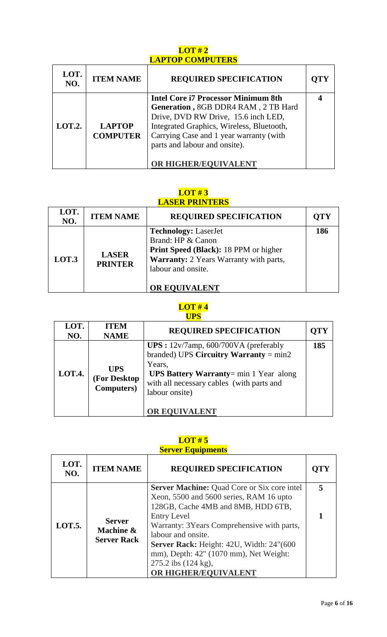# **LOT # 2 LAPTOP COMPUTERS**

| LOT.<br>NO.   | <b>ITEM NAME</b>                 | <b>REQUIRED SPECIFICATION</b>                                                                                                                                                                                                                                             |  |
|---------------|----------------------------------|---------------------------------------------------------------------------------------------------------------------------------------------------------------------------------------------------------------------------------------------------------------------------|--|
| <b>LOT.2.</b> | <b>LAPTOP</b><br><b>COMPUTER</b> | <b>Intel Core i7 Processor Minimum 8th</b><br>Generation, 8GB DDR4 RAM, 2 TB Hard<br>Drive, DVD RW Drive, 15.6 inch LED,<br>Integrated Graphics, Wireless, Bluetooth,<br>Carrying Case and 1 year warranty (with<br>parts and labour and onsite).<br>OR HIGHER/EQUIVALENT |  |

## **LOT # 3 LASER PRINTERS**

| LOT.<br>NO. | <b>ITEM NAME</b>               | <b>REQUIRED SPECIFICATION</b>                                                                                                                                                            | <b>OTY</b> |
|-------------|--------------------------------|------------------------------------------------------------------------------------------------------------------------------------------------------------------------------------------|------------|
| LOT.3       | <b>LASER</b><br><b>PRINTER</b> | <b>Technology: LaserJet</b><br>Brand: HP & Canon<br><b>Print Speed (Black): 18 PPM or higher</b><br>Warranty: 2 Years Warranty with parts,<br>labour and onsite.<br><b>OR EQUIVALENT</b> | 186        |

# **LOT # 4 UPS**

| LOT.<br>NO. | <b>ITEM</b><br><b>NAME</b>                       | <b>REQUIRED SPECIFICATION</b>                                                                                                                                                                                                             | <b>OTY</b> |
|-------------|--------------------------------------------------|-------------------------------------------------------------------------------------------------------------------------------------------------------------------------------------------------------------------------------------------|------------|
| LOT.4.      | <b>UPS</b><br>(For Desktop<br><b>Computers</b> ) | UPS : $12v/7$ amp, 600/700VA (preferably<br>branded) UPS Circuitry Warranty = $min2$<br>Years,<br><b>UPS Battery Warranty</b> = $min 1$ Year along<br>with all necessary cables (with parts and<br>labour onsite)<br><b>OR EQUIVALENT</b> | 185        |

# **LOT # 5**

| <b>Server Equipments</b> |                                                  |                                                                                                                                                                                                                                                                                                                                                                     |     |
|--------------------------|--------------------------------------------------|---------------------------------------------------------------------------------------------------------------------------------------------------------------------------------------------------------------------------------------------------------------------------------------------------------------------------------------------------------------------|-----|
| LOT.<br>NO.              | <b>ITEM NAME</b>                                 | <b>REQUIRED SPECIFICATION</b>                                                                                                                                                                                                                                                                                                                                       | OTY |
| <b>LOT.5.</b>            | <b>Server</b><br>Machine &<br><b>Server Rack</b> | <b>Server Machine: Quad Core or Six core intel</b><br>Xeon, 5500 and 5600 series, RAM 16 upto<br>128GB, Cache 4MB and 8MB, HDD 6TB,<br><b>Entry Level</b><br>Warranty: 3Years Comprehensive with parts,<br>labour and onsite.<br>Server Rack: Height: 42U, Width: 24"(600)<br>mm), Depth: 42" (1070 mm), Net Weight:<br>275.2 ibs (124 kg),<br>OR HIGHER/EQUIVALENT |     |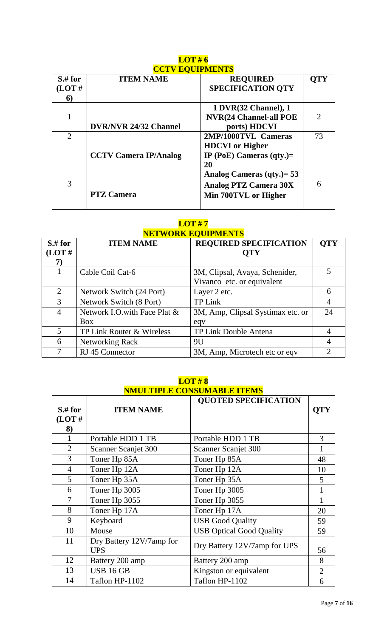| $S$ .# for     | <b>ITEM NAME</b>             | <b>REQUIRED</b>               | <b>OTY</b>                  |
|----------------|------------------------------|-------------------------------|-----------------------------|
| (LOT#          |                              | <b>SPECIFICATION QTY</b>      |                             |
| 6)             |                              |                               |                             |
|                |                              | 1 DVR(32 Channel), 1          |                             |
|                |                              | <b>NVR(24 Channel-all POE</b> | $\mathcal{D}_{\mathcal{L}}$ |
|                | <b>DVR/NVR 24/32 Channel</b> | ports) HDCVI                  |                             |
| $\overline{2}$ |                              | 2MP/1000TVL Cameras           | 73                          |
|                |                              | <b>HDCVI</b> or Higher        |                             |
|                | <b>CCTV Camera IP/Analog</b> | IP (PoE) Cameras $(qty.)=$    |                             |
|                |                              | 20                            |                             |
|                |                              | Analog Cameras $(qty.) = 53$  |                             |
| 3              |                              | <b>Analog PTZ Camera 30X</b>  | 6                           |
|                | <b>PTZ Camera</b>            | Min 700TVL or Higher          |                             |
|                |                              |                               |                             |

## **LOT # 6 CCTV EQUIPMENTS**

# **LOT # 7 NETWORK EQUIPMENTS**

| <u>ГЕН И ОКК ЕУСП ШЕРГЕР</u> |                              |                                   |                |  |
|------------------------------|------------------------------|-----------------------------------|----------------|--|
| $S$ .# for                   | <b>ITEM NAME</b>             | <b>REQUIRED SPECIFICATION</b>     | <b>QTY</b>     |  |
| (LOT#                        |                              | <b>QTY</b>                        |                |  |
| 7)                           |                              |                                   |                |  |
|                              | Cable Coil Cat-6             | 3M, Clipsal, Avaya, Schenider,    |                |  |
|                              |                              | Vivanco etc. or equivalent        |                |  |
| 2                            | Network Switch (24 Port)     | Layer 2 etc.                      | 6              |  |
| 3                            | Network Switch (8 Port)      | <b>TP Link</b>                    | $\overline{4}$ |  |
| $\overline{4}$               | Network I.O.with Face Plat & | 3M, Amp, Clipsal Systimax etc. or | 24             |  |
|                              | <b>Box</b>                   | eqv                               |                |  |
| 5                            | TP Link Router & Wireless    | TP Link Double Antena             | $\overline{4}$ |  |
| 6                            | Networking Rack              | 9U                                | 4              |  |
| 7                            | RJ 45 Connector              | 3M, Amp, Microtech etc or eqv     | 2              |  |

# **LOT # 8 NMULTIPLE CONSUMABLE ITEMS**

| $S$ .# for<br>(LOT#)<br>8) | <b>ITEM NAME</b>                       | <b>QUOTED SPECIFICATION</b>     | <b>QTY</b>     |
|----------------------------|----------------------------------------|---------------------------------|----------------|
|                            | Portable HDD 1 TB                      | Portable HDD 1 TB               | 3              |
| $\overline{2}$             | Scanner Scanjet 300                    | Scanner Scanjet 300             |                |
| $\overline{3}$             | Toner Hp 85A                           | Toner Hp 85A                    | 48             |
| $\overline{4}$             | Toner Hp 12A                           | Toner Hp 12A                    | 10             |
| 5                          | Toner Hp 35A                           | Toner Hp 35A                    | 5              |
| 6                          | Toner Hp 3005                          | Toner Hp 3005                   |                |
| 7                          | Toner Hp 3055                          | Toner Hp 3055                   |                |
| 8                          | Toner Hp 17A                           | Toner Hp 17A                    | 20             |
| 9                          | Keyboard                               | <b>USB Good Quality</b>         | 59             |
| 10                         | Mouse                                  | <b>USB Optical Good Quality</b> | 59             |
| 11                         | Dry Battery 12V/7amp for<br><b>UPS</b> | Dry Battery 12V/7amp for UPS    | 56             |
| 12                         | Battery 200 amp                        | Battery 200 amp                 | 8              |
| 13                         | <b>USB 16 GB</b>                       | Kingston or equivalent          | $\overline{2}$ |
| 14                         | Taflon HP-1102                         | Taflon HP-1102                  | 6              |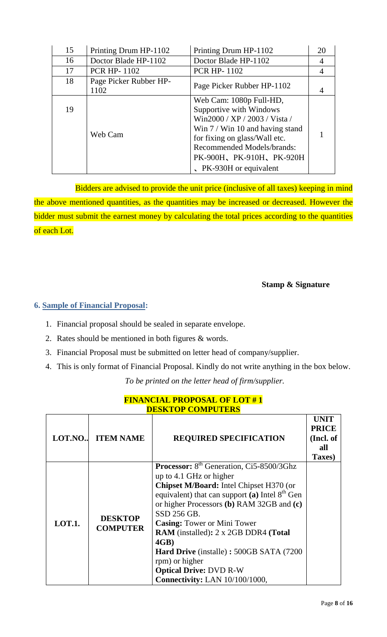| 15 | Printing Drum HP-1102          | Printing Drum HP-1102                                                                                                                                                                                                                                  | 20 |
|----|--------------------------------|--------------------------------------------------------------------------------------------------------------------------------------------------------------------------------------------------------------------------------------------------------|----|
| 16 | Doctor Blade HP-1102           | Doctor Blade HP-1102                                                                                                                                                                                                                                   | 4  |
| 17 | <b>PCR HP-1102</b>             | <b>PCR HP-1102</b>                                                                                                                                                                                                                                     | 4  |
| 18 | Page Picker Rubber HP-<br>1102 | Page Picker Rubber HP-1102                                                                                                                                                                                                                             |    |
| 19 | Web Cam                        | Web Cam: 1080p Full-HD,<br>Supportive with Windows<br>Win2000 / XP / 2003 / Vista /<br>Win $7 /$ Win 10 and having stand<br>for fixing on glass/Wall etc.<br><b>Recommended Models/brands:</b><br>PK-900H、PK-910H、PK-920H<br>No. PK-930H or equivalent |    |

<span id="page-7-0"></span> Bidders are advised to provide the unit price (inclusive of all taxes) keeping in mind the above mentioned quantities, as the quantities may be increased or decreased. However the bidder must submit the earnest money by calculating the total prices according to the quantities of each Lot.

**Stamp & Signature**

## **6. Sample of Financial Proposal:**

- 1. Financial proposal should be sealed in separate envelope.
- 2. Rates should be mentioned in both figures & words.
- 3. Financial Proposal must be submitted on letter head of company/supplier.
- 4. This is only format of Financial Proposal. Kindly do not write anything in the box below.

*To be printed on the letter head of firm/supplier.*

| LOT.NO        | <b>ITEM NAME</b>                  | <b>REQUIRED SPECIFICATION</b>                                                                                                                                                                                                                                                                                                                                                                                                                                                   | <b>UNIT</b><br><b>PRICE</b><br>(Incl. of<br>all<br>Taxes) |
|---------------|-----------------------------------|---------------------------------------------------------------------------------------------------------------------------------------------------------------------------------------------------------------------------------------------------------------------------------------------------------------------------------------------------------------------------------------------------------------------------------------------------------------------------------|-----------------------------------------------------------|
| <b>LOT.1.</b> | <b>DESKTOP</b><br><b>COMPUTER</b> | Processor: 8 <sup>th</sup> Generation, Ci5-8500/3Ghz<br>up to 4.1 GHz or higher<br>Chipset M/Board: Intel Chipset H370 (or<br>equivalent) that can support (a) Intel $8th$ Gen<br>or higher Processors (b) RAM 32GB and (c)<br>SSD 256 GB.<br><b>Casing: Tower or Mini Tower</b><br><b>RAM</b> (installed): 2 x 2GB DDR4 (Total<br>4GB)<br>Hard Drive (installe): 500GB SATA (7200)<br>rpm) or higher<br><b>Optical Drive: DVD R-W</b><br><b>Connectivity: LAN 10/100/1000,</b> |                                                           |

#### **FINANCIAL PROPOSAL OF LOT # 1 DESKTOP COMPUTERS**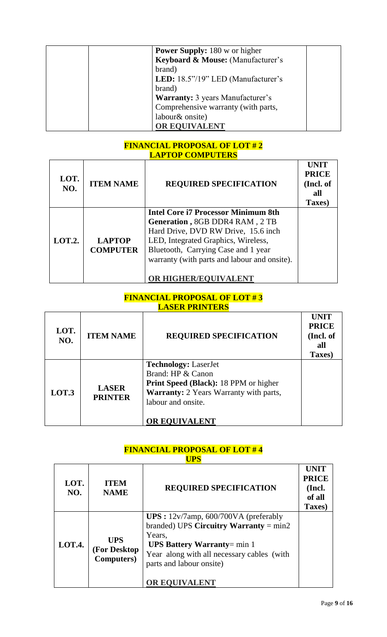| <b>Power Supply:</b> 180 w or higher    |
|-----------------------------------------|
| Keyboard & Mouse: (Manufacturer's       |
| brand)                                  |
| LED: 18.5"/19" LED (Manufacturer's      |
| brand)                                  |
| <b>Warranty:</b> 3 years Manufacturer's |
| Comprehensive warranty (with parts,     |
| labour& onsite)                         |
| OR EQUIVALENT                           |

# **FINANCIAL PROPOSAL OF LOT # 2 LAPTOP COMPUTERS**

| LOT.<br>NO.   | <b>ITEM NAME</b>                 | <b>REQUIRED SPECIFICATION</b>                                                                                                                                                                                                                                             | <b>UNIT</b><br><b>PRICE</b><br>(Incl. of<br>all<br>Taxes) |
|---------------|----------------------------------|---------------------------------------------------------------------------------------------------------------------------------------------------------------------------------------------------------------------------------------------------------------------------|-----------------------------------------------------------|
| <b>LOT.2.</b> | <b>LAPTOP</b><br><b>COMPUTER</b> | <b>Intel Core i7 Processor Minimum 8th</b><br>Generation, 8GB DDR4 RAM, 2 TB<br>Hard Drive, DVD RW Drive, 15.6 inch<br>LED, Integrated Graphics, Wireless,<br>Bluetooth, Carrying Case and 1 year<br>warranty (with parts and labour and onsite).<br>OR HIGHER/EQUIVALENT |                                                           |

#### **FINANCIAL PROPOSAL OF LOT # 3 LASER PRINTERS**

| LOT.<br>NO. | <b>ITEM NAME</b>               | <b>REQUIRED SPECIFICATION</b>                                                                                                                                              | UNIT<br><b>PRICE</b><br>(Incl. of<br>all<br>Taxes) |
|-------------|--------------------------------|----------------------------------------------------------------------------------------------------------------------------------------------------------------------------|----------------------------------------------------|
| LOT.3       | <b>LASER</b><br><b>PRINTER</b> | <b>Technology: LaserJet</b><br>Brand: HP & Canon<br>Print Speed (Black): 18 PPM or higher<br>Warranty: 2 Years Warranty with parts,<br>labour and onsite.<br>OR EQUIVALENT |                                                    |

#### **FINANCIAL PROPOSAL OF LOT # 4 UPS**

| LOT.<br>NO. | <b>ITEM</b><br><b>NAME</b>                       | <b>REQUIRED SPECIFICATION</b>                                                                                                                                                                                                            | <b>UNIT</b><br><b>PRICE</b><br>(Incl.<br>of all<br>Taxes) |
|-------------|--------------------------------------------------|------------------------------------------------------------------------------------------------------------------------------------------------------------------------------------------------------------------------------------------|-----------------------------------------------------------|
| LOT.4.      | <b>UPS</b><br>(For Desktop<br><b>Computers</b> ) | UPS: $12v/7$ amp, 600/700VA (preferably<br>branded) UPS Circuitry Warranty = $min2$<br>Years,<br><b>UPS Battery Warranty</b> = $min 1$<br>Year along with all necessary cables (with<br>parts and labour onsite)<br><b>OR EOUIVALENT</b> |                                                           |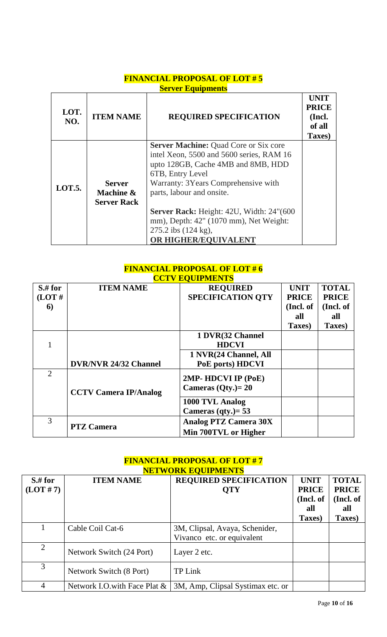# **FINANCIAL PROPOSAL OF LOT # 5 Server Equipments**

| LOT.<br>NO. | <b>ITEM NAME</b>                                 | <b>REQUIRED SPECIFICATION</b>                                                                                                                                                                                                                                                                                                                      | UNIT<br><b>PRICE</b><br>(Incl.<br>of all<br>Taxes) |
|-------------|--------------------------------------------------|----------------------------------------------------------------------------------------------------------------------------------------------------------------------------------------------------------------------------------------------------------------------------------------------------------------------------------------------------|----------------------------------------------------|
| LOT.5.      | <b>Server</b><br>Machine &<br><b>Server Rack</b> | <b>Server Machine: Quad Core or Six core</b><br>intel Xeon, 5500 and 5600 series, RAM 16<br>upto 128GB, Cache 4MB and 8MB, HDD<br>6TB, Entry Level<br>Warranty: 3 Years Comprehensive with<br>parts, labour and onsite.<br>Server Rack: Height: 42U, Width: 24"(600)<br>mm), Depth: 42" (1070 mm), Net Weight:<br>$275.2$ ibs $(124 \text{ kg})$ , |                                                    |
|             |                                                  | OR HIGHER/EQUIVALENT                                                                                                                                                                                                                                                                                                                               |                                                    |

## **FINANCIAL PROPOSAL OF LOT # 6 CCTV EQUIPMENTS**

|                |                              | <u>UUI Y LUUII MILITID</u>   |              |              |
|----------------|------------------------------|------------------------------|--------------|--------------|
| $S$ .# for     | <b>ITEM NAME</b>             | <b>REQUIRED</b>              | <b>UNIT</b>  | <b>TOTAL</b> |
| (LOT#          |                              | <b>SPECIFICATION QTY</b>     | <b>PRICE</b> | <b>PRICE</b> |
| 6              |                              |                              | (Incl. of    | (Incl. of    |
|                |                              |                              | all          | all          |
|                |                              |                              | Taxes)       | Taxes)       |
|                |                              | 1 DVR(32 Channel             |              |              |
|                |                              | <b>HDCVI</b>                 |              |              |
|                |                              | 1 NVR(24 Channel, All        |              |              |
|                | <b>DVR/NVR 24/32 Channel</b> | PoE ports) HDCVI             |              |              |
| $\overline{2}$ |                              | 2MP- HDCVI IP (PoE)          |              |              |
|                |                              |                              |              |              |
|                | <b>CCTV Camera IP/Analog</b> | Cameras $(Qty.) = 20$        |              |              |
|                |                              | 1000 TVL Analog              |              |              |
|                |                              | Cameras $(qty.) = 53$        |              |              |
| 3              |                              | <b>Analog PTZ Camera 30X</b> |              |              |
|                | <b>PTZ Camera</b>            | Min 700TVL or Higher         |              |              |

# **FINANCIAL PROPOSAL OF LOT # 7 NETWORK EQUIPMENTS**

| $S$ # for      | <b>ITEM NAME</b>             | <b>REQUIRED SPECIFICATION</b>     | <b>UNIT</b>  | <b>TOTAL</b> |
|----------------|------------------------------|-----------------------------------|--------------|--------------|
| (LOT#7)        |                              | <b>QTY</b>                        | <b>PRICE</b> | <b>PRICE</b> |
|                |                              |                                   | (Incl. of    | (Incl. of    |
|                |                              |                                   | all          | all          |
|                |                              |                                   | Taxes)       | Taxes)       |
|                | Cable Coil Cat-6             | 3M, Clipsal, Avaya, Schenider,    |              |              |
|                |                              | Vivanco etc. or equivalent        |              |              |
| $\overline{2}$ | Network Switch (24 Port)     | Layer 2 etc.                      |              |              |
|                |                              |                                   |              |              |
| 3              | Network Switch (8 Port)      | <b>TP Link</b>                    |              |              |
|                |                              |                                   |              |              |
| 4              | Network I.O.with Face Plat & | 3M, Amp, Clipsal Systimax etc. or |              |              |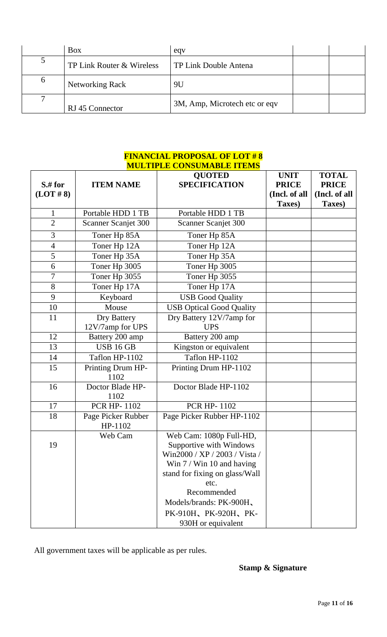|          | <b>Box</b>                | eqv                           |  |
|----------|---------------------------|-------------------------------|--|
| ͻ        | TP Link Router & Wireless | TP Link Double Antena         |  |
| $\sigma$ | <b>Networking Rack</b>    | 9U                            |  |
|          | RJ 45 Connector           | 3M, Amp, Microtech etc or eqv |  |

#### **FINANCIAL PROPOSAL OF LOT # 8 MULTIPLE CONSUMABLE ITEMS**

|                |                               | <b>QUOTED</b>                                                                                                                                                                                                                                         | <b>UNIT</b>   | <b>TOTAL</b>  |
|----------------|-------------------------------|-------------------------------------------------------------------------------------------------------------------------------------------------------------------------------------------------------------------------------------------------------|---------------|---------------|
| $S$ .# for     | <b>ITEM NAME</b>              | <b>SPECIFICATION</b>                                                                                                                                                                                                                                  | <b>PRICE</b>  | <b>PRICE</b>  |
| (LOT # 8)      |                               |                                                                                                                                                                                                                                                       | (Incl. of all | (Incl. of all |
|                |                               |                                                                                                                                                                                                                                                       | Taxes)        | Taxes)        |
| $\mathbf{1}$   | Portable HDD 1 TB             | Portable HDD 1 TB                                                                                                                                                                                                                                     |               |               |
| $\overline{2}$ | Scanner Scanjet 300           | Scanner Scanjet 300                                                                                                                                                                                                                                   |               |               |
| 3              | Toner Hp 85A                  | Toner Hp 85A                                                                                                                                                                                                                                          |               |               |
| $\overline{4}$ | Toner Hp 12A                  | Toner Hp 12A                                                                                                                                                                                                                                          |               |               |
| 5              | Toner Hp 35A                  | Toner Hp 35A                                                                                                                                                                                                                                          |               |               |
| 6              | Toner Hp 3005                 | Toner Hp 3005                                                                                                                                                                                                                                         |               |               |
| $\overline{7}$ | Toner Hp 3055                 | Toner Hp 3055                                                                                                                                                                                                                                         |               |               |
| 8              | Toner Hp 17A                  | Toner Hp 17A                                                                                                                                                                                                                                          |               |               |
| 9              | Keyboard                      | <b>USB Good Quality</b>                                                                                                                                                                                                                               |               |               |
| 10             | Mouse                         | <b>USB Optical Good Quality</b>                                                                                                                                                                                                                       |               |               |
| 11             | Dry Battery                   | Dry Battery 12V/7amp for                                                                                                                                                                                                                              |               |               |
|                | 12V/7amp for UPS              | <b>UPS</b>                                                                                                                                                                                                                                            |               |               |
| 12             | Battery 200 amp               | Battery 200 amp                                                                                                                                                                                                                                       |               |               |
| 13             | <b>USB 16 GB</b>              | Kingston or equivalent                                                                                                                                                                                                                                |               |               |
| 14             | Taflon HP-1102                | Taflon HP-1102                                                                                                                                                                                                                                        |               |               |
| 15             | Printing Drum HP-<br>1102     | Printing Drum HP-1102                                                                                                                                                                                                                                 |               |               |
| 16             | Doctor Blade HP-<br>1102      | Doctor Blade HP-1102                                                                                                                                                                                                                                  |               |               |
| 17             | <b>PCR HP-1102</b>            | <b>PCR HP-1102</b>                                                                                                                                                                                                                                    |               |               |
| 18             | Page Picker Rubber<br>HP-1102 | Page Picker Rubber HP-1102                                                                                                                                                                                                                            |               |               |
| 19             | Web Cam                       | Web Cam: 1080p Full-HD,<br>Supportive with Windows<br>Win2000 / XP / 2003 / Vista /<br>Win $7 /$ Win 10 and having<br>stand for fixing on glass/Wall<br>etc.<br>Recommended<br>Models/brands: PK-900H,<br>PK-910H, PK-920H, PK-<br>930H or equivalent |               |               |

All government taxes will be applicable as per rules.

# **Stamp & Signature**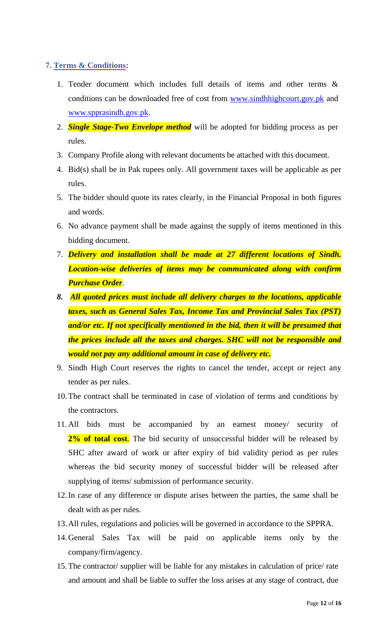#### <span id="page-11-0"></span>**7. Terms & Conditions:**

- 1. Tender document which includes full details of items and other terms & conditions can be downloaded free of cost from [www.sindhhighcourt.gov.pk](http://www.sindhhighcourt.gov.pk/) and [www.spprasindh.gov.pk.](http://www.spprasindh.gov.pk/)
- 2. *Single Stage-Two Envelope method* will be adopted for bidding process as per rules.
- 3. Company Profile along with relevant documents be attached with this document.
- 4. Bid(s) shall be in Pak rupees only. All government taxes will be applicable as per rules.
- 5. The bidder should quote its rates clearly, in the Financial Proposal in both figures and words.
- 6. No advance payment shall be made against the supply of items mentioned in this bidding document.
- 7. *Delivery and installation shall be made at 27 different locations of Sindh. Location-wise deliveries of items may be communicated along with confirm Purchase Order*.
- *8. All quoted prices must include all delivery charges to the locations, applicable taxes, such as General Sales Tax, Income Tax and Provincial Sales Tax (PST) and/or etc. If not specifically mentioned in the bid, then it will be presumed that the prices include all the taxes and charges. SHC will not be responsible and would not pay any additional amount in case of delivery etc.*
- 9. Sindh High Court reserves the rights to cancel the tender, accept or reject any tender as per rules.
- 10.The contract shall be terminated in case of violation of terms and conditions by the contractors.
- 11. All bids must be accompanied by an earnest money/ security of 2% of total cost. The bid security of unsuccessful bidder will be released by SHC after award of work or after expiry of bid validity period as per rules whereas the bid security money of successful bidder will be released after supplying of items/ submission of performance security.
- 12.In case of any difference or dispute arises between the parties, the same shall be dealt with as per rules.
- 13.All rules, regulations and policies will be governed in accordance to the SPPRA.
- 14.General Sales Tax will be paid on applicable items only by the company/firm/agency.
- 15. The contractor/ supplier will be liable for any mistakes in calculation of price/ rate and amount and shall be liable to suffer the loss arises at any stage of contract, due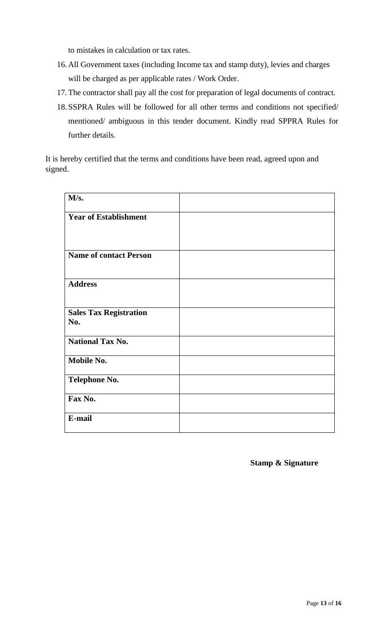to mistakes in calculation or tax rates.

- 16.All Government taxes (including Income tax and stamp duty), levies and charges will be charged as per applicable rates / Work Order.
- 17. The contractor shall pay all the cost for preparation of legal documents of contract.
- 18.SSPRA Rules will be followed for all other terms and conditions not specified/ mentioned/ ambiguous in this tender document. Kindly read SPPRA Rules for further details.

It is hereby certified that the terms and conditions have been read, agreed upon and signed.

| M/s.                                 |  |
|--------------------------------------|--|
| <b>Year of Establishment</b>         |  |
|                                      |  |
| <b>Name of contact Person</b>        |  |
|                                      |  |
| <b>Address</b>                       |  |
|                                      |  |
| <b>Sales Tax Registration</b><br>No. |  |
| <b>National Tax No.</b>              |  |
|                                      |  |
| Mobile No.                           |  |
| <b>Telephone No.</b>                 |  |
| Fax No.                              |  |
| E-mail                               |  |

**Stamp & Signature**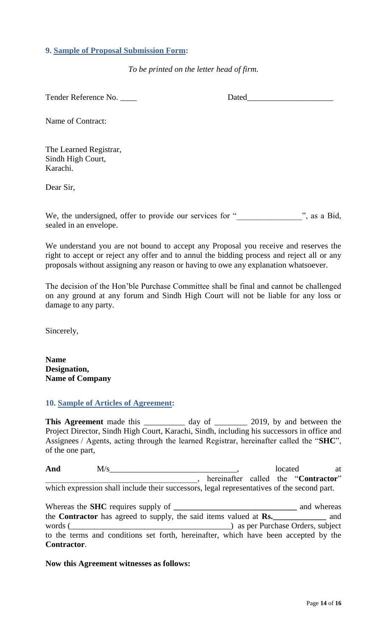#### <span id="page-13-0"></span>**9. Sample of Proposal Submission Form:**

*To be printed on the letter head of firm.*

Tender Reference No. 2008 Dated

Name of Contract:

The Learned Registrar, Sindh High Court, Karachi.

Dear Sir,

We, the undersigned, offer to provide our services for " \_\_\_\_\_\_\_\_\_\_, as a Bid, sealed in an envelope.

We understand you are not bound to accept any Proposal you receive and reserves the right to accept or reject any offer and to annul the bidding process and reject all or any proposals without assigning any reason or having to owe any explanation whatsoever.

<span id="page-13-1"></span>The decision of the Hon"ble Purchase Committee shall be final and cannot be challenged on any ground at any forum and Sindh High Court will not be liable for any loss or damage to any party.

Sincerely,

**Name Designation, Name of Company**

#### **10. Sample of Articles of Agreement:**

This Agreement made this \_\_\_\_\_\_\_\_\_\_ day of \_\_\_\_\_\_\_\_ 2019, by and between the Project Director, Sindh High Court, Karachi, Sindh, including his successors in office and Assignees / Agents, acting through the learned Registrar, hereinafter called the "**SHC**", of the one part,

**And** M/s\_\_\_\_\_\_\_\_\_\_\_\_\_\_\_\_\_\_\_\_\_\_\_\_\_\_\_\_\_\_\_, located at \_\_\_\_\_\_\_\_\_\_\_\_\_\_\_\_\_\_\_\_\_\_\_\_\_\_\_\_\_\_\_\_\_\_\_\_\_, hereinafter called the "**Contractor**" which expression shall include their successors, legal representatives of the second part.

Whereas the **SHC** requires supply of **\_\_\_\_\_\_\_\_\_\_\_\_\_\_\_\_\_\_\_\_\_\_\_\_\_\_\_\_\_\_** and whereas the **Contractor** has agreed to supply, the said items valued at **Rs.\_\_\_\_\_\_\_\_\_\_\_\_\_** and words (\_\_\_\_\_\_\_\_\_\_\_\_\_\_\_\_\_\_\_\_\_\_\_\_\_\_\_\_\_\_\_\_\_\_\_\_\_\_\_) as per Purchase Orders, subject to the terms and conditions set forth, hereinafter, which have been accepted by the **Contractor**.

#### **Now this Agreement witnesses as follows:**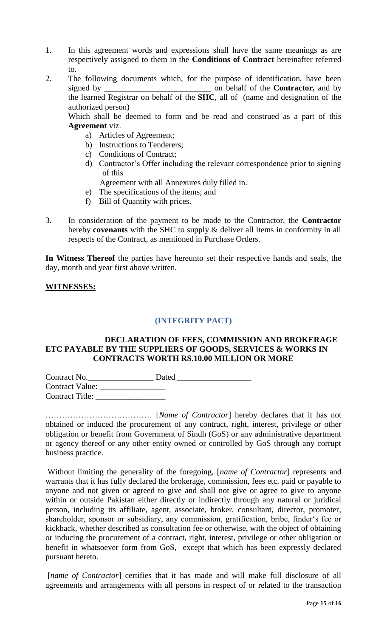- 1. In this agreement words and expressions shall have the same meanings as are respectively assigned to them in the **Conditions of Contract** hereinafter referred to.
- 2. The following documents which, for the purpose of identification, have been signed by \_\_\_\_\_\_\_\_\_\_\_\_\_\_\_\_\_\_\_\_\_\_\_\_\_\_ on behalf of the **Contractor,** and by the learned Registrar on behalf of the **SHC**, all of (name and designation of the authorized person)

Which shall be deemed to form and be read and construed as a part of this **Agreement** viz.

- a) Articles of Agreement;
- b) Instructions to Tenderers;
- c) Conditions of Contract;
- d) Contractor"s Offer including the relevant correspondence prior to signing of this
	- Agreement with all Annexures duly filled in.
- e) The specifications of the items; and
- f) Bill of Quantity with prices.
- <span id="page-14-0"></span>3. In consideration of the payment to be made to the Contractor, the **Contractor** hereby **covenants** with the SHC to supply & deliver all items in conformity in all respects of the Contract, as mentioned in Purchase Orders.

**In Witness Thereof** the parties have hereunto set their respective hands and seals, the day, month and year first above written.

#### **WITNESSES:**

## **(INTEGRITY PACT)**

#### **DECLARATION OF FEES, COMMISSION AND BROKERAGE ETC PAYABLE BY THE SUPPLIERS OF GOODS, SERVICES & WORKS IN CONTRACTS WORTH RS.10.00 MILLION OR MORE**

| Contract No.           | Dated |
|------------------------|-------|
| <b>Contract Value:</b> |       |
| <b>Contract Title:</b> |       |

………………………………… [*Name of Contractor*] hereby declares that it has not obtained or induced the procurement of any contract, right, interest, privilege or other obligation or benefit from Government of Sindh (GoS) or any administrative department or agency thereof or any other entity owned or controlled by GoS through any corrupt business practice.

Without limiting the generality of the foregoing, [*name of Contractor*] represents and warrants that it has fully declared the brokerage, commission, fees etc. paid or payable to anyone and not given or agreed to give and shall not give or agree to give to anyone within or outside Pakistan either directly or indirectly through any natural or juridical person, including its affiliate, agent, associate, broker, consultant, director, promoter, shareholder, sponsor or subsidiary, any commission, gratification, bribe, finder"s fee or kickback, whether described as consultation fee or otherwise, with the object of obtaining or inducing the procurement of a contract, right, interest, privilege or other obligation or benefit in whatsoever form from GoS, except that which has been expressly declared pursuant hereto.

[*name of Contractor*] certifies that it has made and will make full disclosure of all agreements and arrangements with all persons in respect of or related to the transaction